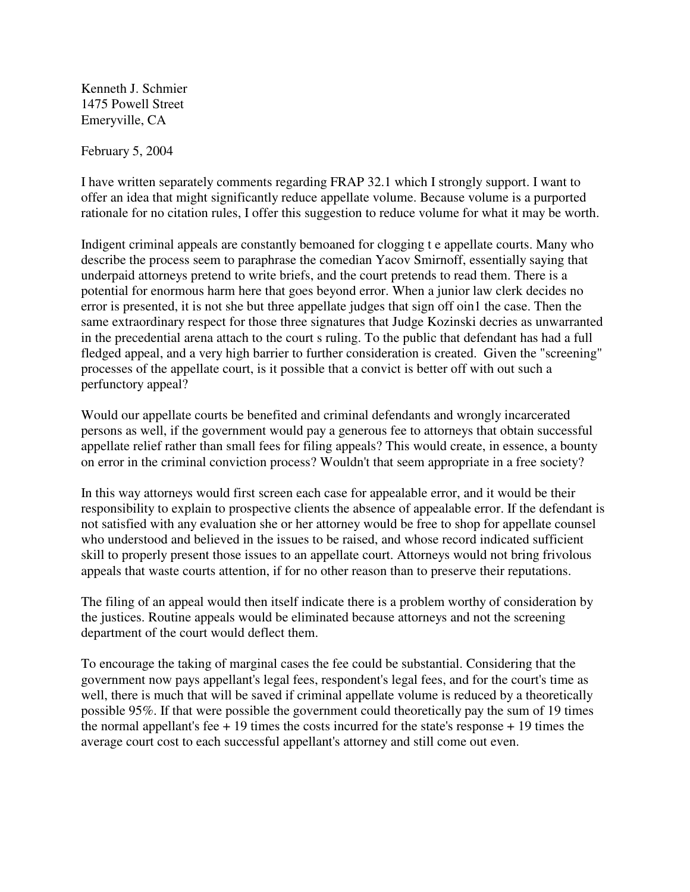Kenneth J. Schmier 1475 Powell Street Emeryville, CA

February 5, 2004

I have written separately comments regarding FRAP 32.1 which I strongly support. I want to offer an idea that might significantly reduce appellate volume. Because volume is a purported rationale for no citation rules, I offer this suggestion to reduce volume for what it may be worth.

Indigent criminal appeals are constantly bemoaned for clogging t e appellate courts. Many who describe the process seem to paraphrase the comedian Yacov Smirnoff, essentially saying that underpaid attorneys pretend to write briefs, and the court pretends to read them. There is a potential for enormous harm here that goes beyond error. When a junior law clerk decides no error is presented, it is not she but three appellate judges that sign off oin1 the case. Then the same extraordinary respect for those three signatures that Judge Kozinski decries as unwarranted in the precedential arena attach to the court s ruling. To the public that defendant has had a full fledged appeal, and a very high barrier to further consideration is created. Given the "screening" processes of the appellate court, is it possible that a convict is better off with out such a perfunctory appeal?

Would our appellate courts be benefited and criminal defendants and wrongly incarcerated persons as well, if the government would pay a generous fee to attorneys that obtain successful appellate relief rather than small fees for filing appeals? This would create, in essence, a bounty on error in the criminal conviction process? Wouldn't that seem appropriate in a free society?

In this way attorneys would first screen each case for appealable error, and it would be their responsibility to explain to prospective clients the absence of appealable error. If the defendant is not satisfied with any evaluation she or her attorney would be free to shop for appellate counsel who understood and believed in the issues to be raised, and whose record indicated sufficient skill to properly present those issues to an appellate court. Attorneys would not bring frivolous appeals that waste courts attention, if for no other reason than to preserve their reputations.

The filing of an appeal would then itself indicate there is a problem worthy of consideration by the justices. Routine appeals would be eliminated because attorneys and not the screening department of the court would deflect them.

To encourage the taking of marginal cases the fee could be substantial. Considering that the government now pays appellant's legal fees, respondent's legal fees, and for the court's time as well, there is much that will be saved if criminal appellate volume is reduced by a theoretically possible 95%. If that were possible the government could theoretically pay the sum of 19 times the normal appellant's fee  $+19$  times the costs incurred for the state's response  $+19$  times the average court cost to each successful appellant's attorney and still come out even.